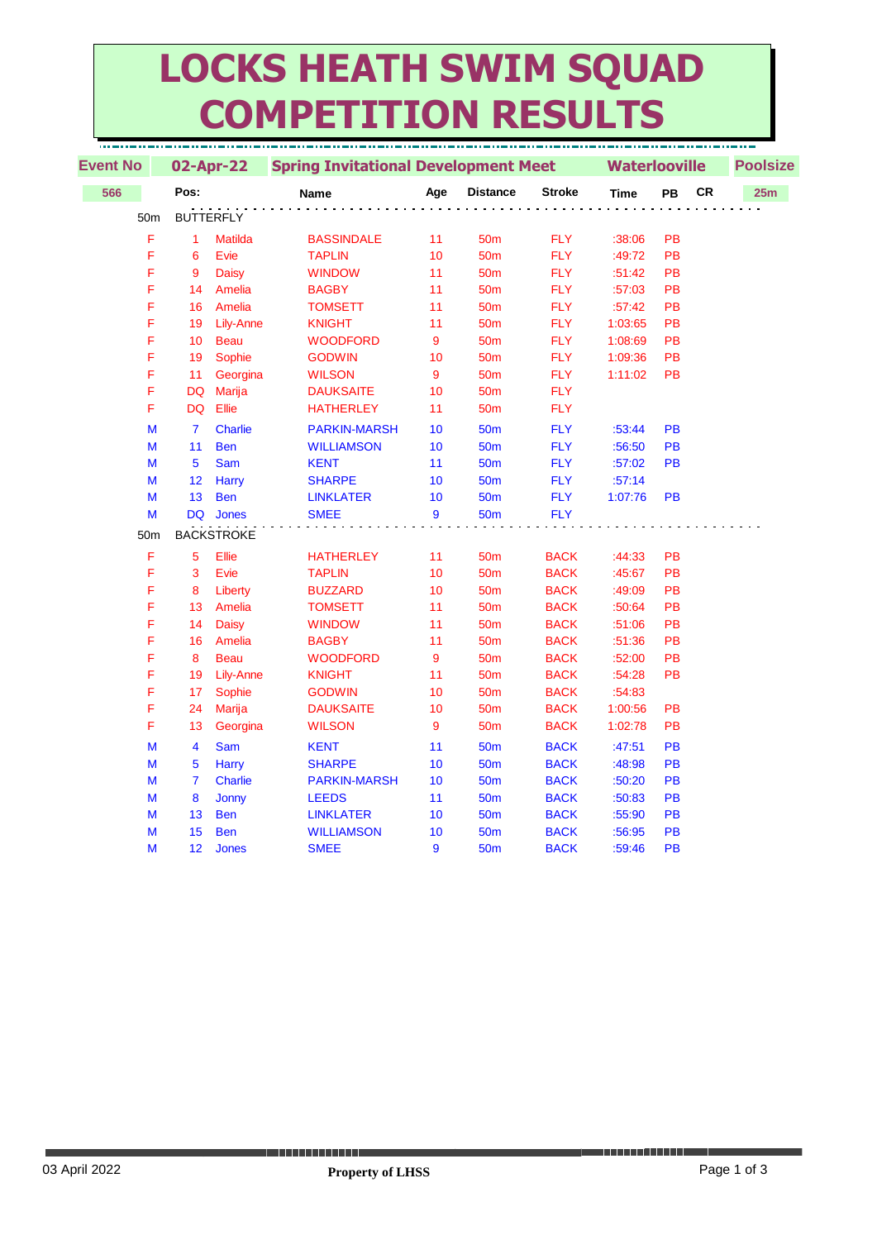## **LOCKS HEATH SWIM SQUAD COMPETITION RESULTS**

| <b>Event No</b> | 02-Apr-22      |                   | <b>Spring Invitational Development Meet</b> |     |                 |               | <b>Waterlooville</b> |           |           | <b>Poolsize</b> |  |  |
|-----------------|----------------|-------------------|---------------------------------------------|-----|-----------------|---------------|----------------------|-----------|-----------|-----------------|--|--|
| 566             | Pos:           |                   | Name                                        | Age | <b>Distance</b> | <b>Stroke</b> | <b>Time</b>          | PB        | <b>CR</b> | 25m             |  |  |
| 50 <sub>m</sub> |                | <b>BUTTERFLY</b>  |                                             |     |                 |               |                      |           |           |                 |  |  |
| F               | $\mathbf{1}$   | <b>Matilda</b>    | <b>BASSINDALE</b>                           | 11  | 50 <sub>m</sub> | <b>FLY</b>    | :38:06               | PB        |           |                 |  |  |
| F               | 6              | Evie              | <b>TAPLIN</b>                               | 10  | 50 <sub>m</sub> | <b>FLY</b>    | :49:72               | PB        |           |                 |  |  |
| F               | 9              | <b>Daisy</b>      | <b>WINDOW</b>                               | 11  | 50 <sub>m</sub> | <b>FLY</b>    | :51:42               | PB        |           |                 |  |  |
| F               | 14             | Amelia            | <b>BAGBY</b>                                | 11  | 50 <sub>m</sub> | <b>FLY</b>    | :57:03               | PB        |           |                 |  |  |
| F               | 16             | Amelia            | <b>TOMSETT</b>                              | 11  | 50 <sub>m</sub> | <b>FLY</b>    | :57:42               | PB        |           |                 |  |  |
| F               | 19             | Lily-Anne         | <b>KNIGHT</b>                               | 11  | 50 <sub>m</sub> | <b>FLY</b>    | 1:03:65              | PB        |           |                 |  |  |
| F               | 10             | <b>Beau</b>       | <b>WOODFORD</b>                             | 9   | 50 <sub>m</sub> | <b>FLY</b>    | 1:08:69              | PB        |           |                 |  |  |
| F               | 19             | Sophie            | <b>GODWIN</b>                               | 10  | 50 <sub>m</sub> | <b>FLY</b>    | 1:09:36              | PB        |           |                 |  |  |
| F               | 11             | Georgina          | <b>WILSON</b>                               | 9   | 50 <sub>m</sub> | <b>FLY</b>    | 1:11:02              | PB        |           |                 |  |  |
| F               | <b>DQ</b>      | <b>Marija</b>     | <b>DAUKSAITE</b>                            | 10  | 50 <sub>m</sub> | <b>FLY</b>    |                      |           |           |                 |  |  |
| F               | <b>DQ</b>      | Ellie             | <b>HATHERLEY</b>                            | 11  | 50 <sub>m</sub> | <b>FLY</b>    |                      |           |           |                 |  |  |
| M               | $\overline{7}$ | <b>Charlie</b>    | <b>PARKIN-MARSH</b>                         | 10  | 50 <sub>m</sub> | <b>FLY</b>    | :53:44               | <b>PB</b> |           |                 |  |  |
| M               | 11             | <b>Ben</b>        | <b>WILLIAMSON</b>                           | 10  | <b>50m</b>      | <b>FLY</b>    | :56:50               | <b>PB</b> |           |                 |  |  |
| M               | 5              | <b>Sam</b>        | <b>KENT</b>                                 | 11  | 50 <sub>m</sub> | <b>FLY</b>    | :57:02               | <b>PB</b> |           |                 |  |  |
| M               | 12             | <b>Harry</b>      | <b>SHARPE</b>                               | 10  | 50 <sub>m</sub> | <b>FLY</b>    | :57:14               |           |           |                 |  |  |
| M               | 13             | <b>Ben</b>        | <b>LINKLATER</b>                            | 10  | <b>50m</b>      | <b>FLY</b>    | 1:07:76              | PB        |           |                 |  |  |
| M               | <b>DQ</b>      | Jones             | <b>SMEE</b>                                 | 9   | 50 <sub>m</sub> | <b>FLY</b>    |                      |           |           |                 |  |  |
| 50m             |                | <b>BACKSTROKE</b> |                                             |     |                 |               |                      |           |           |                 |  |  |
| F               | 5              | Ellie             | <b>HATHERLEY</b>                            | 11  | 50 <sub>m</sub> | <b>BACK</b>   | :44:33               | PB        |           |                 |  |  |
| F               | 3              | Evie              | <b>TAPLIN</b>                               | 10  | 50 <sub>m</sub> | <b>BACK</b>   | :45:67               | PB        |           |                 |  |  |
| F               | 8              | Liberty           | <b>BUZZARD</b>                              | 10  | 50 <sub>m</sub> | <b>BACK</b>   | :49:09               | PB        |           |                 |  |  |
| F               | 13             | Amelia            | <b>TOMSETT</b>                              | 11  | 50 <sub>m</sub> | <b>BACK</b>   | :50:64               | PB        |           |                 |  |  |
| F               | 14             | <b>Daisy</b>      | <b>WINDOW</b>                               | 11  | 50 <sub>m</sub> | <b>BACK</b>   | :51:06               | PB        |           |                 |  |  |
| F               | 16             | Amelia            | <b>BAGBY</b>                                | 11  | 50 <sub>m</sub> | <b>BACK</b>   | :51:36               | PB        |           |                 |  |  |
| F               | 8              | <b>Beau</b>       | <b>WOODFORD</b>                             | 9   | 50 <sub>m</sub> | <b>BACK</b>   | :52:00               | PB        |           |                 |  |  |
| F               | 19             | Lily-Anne         | <b>KNIGHT</b>                               | 11  | 50 <sub>m</sub> | <b>BACK</b>   | :54:28               | PB        |           |                 |  |  |
| F               | 17             | Sophie            | <b>GODWIN</b>                               | 10  | 50 <sub>m</sub> | <b>BACK</b>   | :54:83               |           |           |                 |  |  |
| F               | 24             | <b>Marija</b>     | <b>DAUKSAITE</b>                            | 10  | 50 <sub>m</sub> | <b>BACK</b>   | 1:00:56              | PB        |           |                 |  |  |
| F               | 13             | Georgina          | <b>WILSON</b>                               | 9   | 50 <sub>m</sub> | <b>BACK</b>   | 1:02:78              | PB        |           |                 |  |  |
| M               | 4              | <b>Sam</b>        | <b>KENT</b>                                 | 11  | 50 <sub>m</sub> | <b>BACK</b>   | :47:51               | <b>PB</b> |           |                 |  |  |
| M               | 5              | Harry             | <b>SHARPE</b>                               | 10  | 50 <sub>m</sub> | <b>BACK</b>   | :48:98               | PB        |           |                 |  |  |
| M               | $\overline{7}$ | <b>Charlie</b>    | <b>PARKIN-MARSH</b>                         | 10  | <b>50m</b>      | <b>BACK</b>   | :50:20               | PB        |           |                 |  |  |
| M               | 8              | Jonny             | <b>LEEDS</b>                                | 11  | 50 <sub>m</sub> | <b>BACK</b>   | :50:83               | PB        |           |                 |  |  |
| M               | 13             | <b>Ben</b>        | <b>LINKLATER</b>                            | 10  | 50 <sub>m</sub> | <b>BACK</b>   | :55:90               | PB        |           |                 |  |  |
| M               | 15             | <b>Ben</b>        | <b>WILLIAMSON</b>                           | 10  | 50 <sub>m</sub> | <b>BACK</b>   | :56:95               | PB        |           |                 |  |  |
| M               | 12             | <b>Jones</b>      | <b>SMEE</b>                                 | 9   | <b>50m</b>      | <b>BACK</b>   | :59:46               | PB        |           |                 |  |  |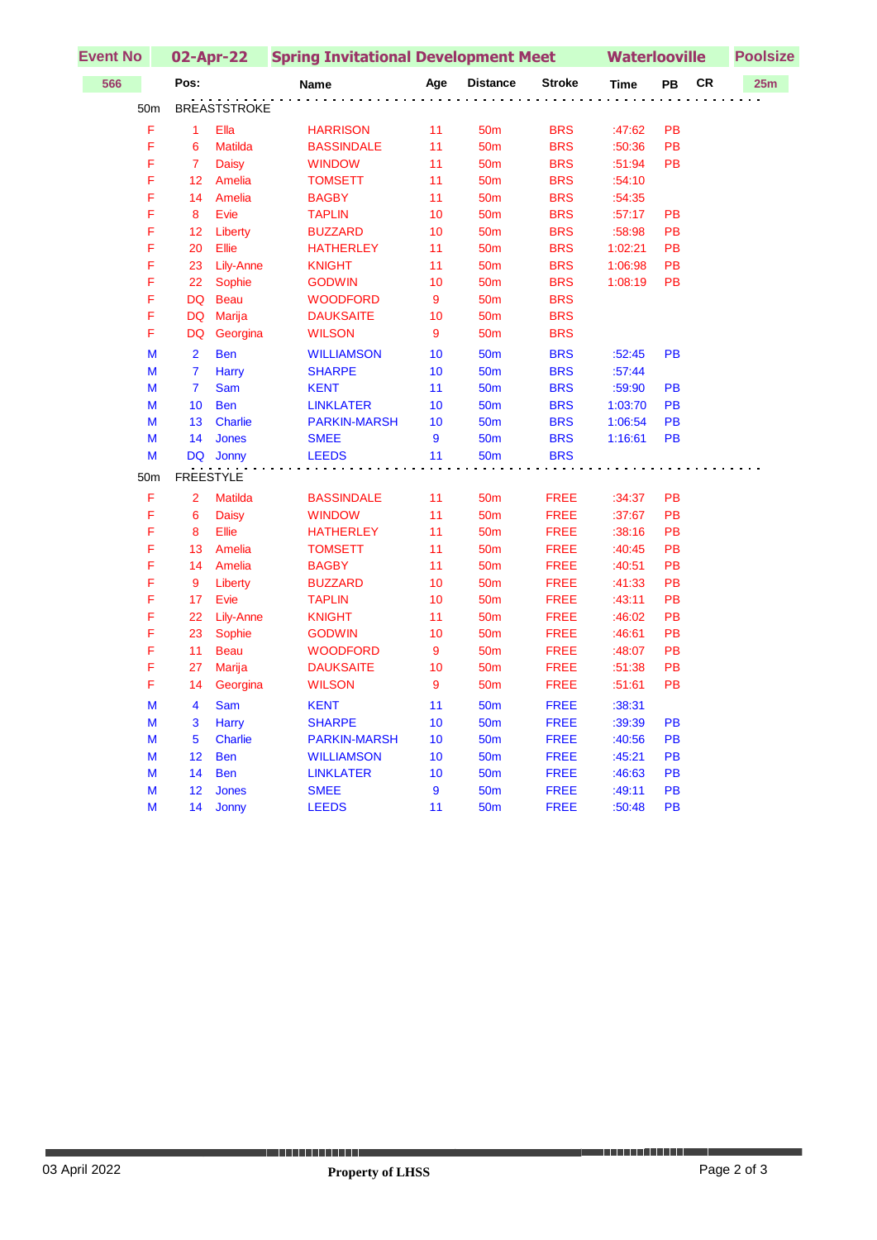| <b>Event No</b> |                 | 02-Apr-22      |                     | <b>Spring Invitational Development Meet</b> | <b>Waterlooville</b> |                 |               | <b>Poolsize</b> |           |    |     |  |
|-----------------|-----------------|----------------|---------------------|---------------------------------------------|----------------------|-----------------|---------------|-----------------|-----------|----|-----|--|
| 566             |                 | Pos:           |                     | <b>Name</b>                                 | Age                  | <b>Distance</b> | <b>Stroke</b> | <b>Time</b>     | PB        | CR | 25m |  |
|                 | 50 <sub>m</sub> |                | <b>BREASTSTROKE</b> |                                             |                      |                 |               |                 |           |    |     |  |
|                 | F               | $\mathbf{1}$   | Ella                | <b>HARRISON</b>                             | 11                   | 50 <sub>m</sub> | <b>BRS</b>    | :47:62          | PB        |    |     |  |
|                 | F               | 6              | <b>Matilda</b>      | <b>BASSINDALE</b>                           | 11                   | 50 <sub>m</sub> | <b>BRS</b>    | :50:36          | PB        |    |     |  |
|                 | F               | $\overline{7}$ | Daisy               | <b>WINDOW</b>                               | 11                   | 50 <sub>m</sub> | <b>BRS</b>    | :51:94          | PB        |    |     |  |
|                 | F               | 12             | Amelia              | <b>TOMSETT</b>                              | 11                   | 50 <sub>m</sub> | <b>BRS</b>    | :54:10          |           |    |     |  |
|                 | F               | 14             | Amelia              | <b>BAGBY</b>                                | 11                   | 50 <sub>m</sub> | <b>BRS</b>    | :54:35          |           |    |     |  |
|                 | F               | 8              | Evie                | <b>TAPLIN</b>                               | 10                   | 50 <sub>m</sub> | <b>BRS</b>    | :57:17          | PB        |    |     |  |
|                 | F               | 12             | Liberty             | <b>BUZZARD</b>                              | 10                   | 50 <sub>m</sub> | <b>BRS</b>    | :58:98          | PB        |    |     |  |
|                 | F               | 20             | Ellie               | <b>HATHERLEY</b>                            | 11                   | 50 <sub>m</sub> | <b>BRS</b>    | 1:02:21         | PB        |    |     |  |
|                 | F               | 23             | Lily-Anne           | <b>KNIGHT</b>                               | 11                   | 50 <sub>m</sub> | <b>BRS</b>    | 1:06:98         | PB        |    |     |  |
|                 | F               | 22             | Sophie              | <b>GODWIN</b>                               | 10                   | 50 <sub>m</sub> | <b>BRS</b>    | 1:08:19         | PB        |    |     |  |
|                 | F               | DQ             | <b>Beau</b>         | <b>WOODFORD</b>                             | 9                    | 50 <sub>m</sub> | <b>BRS</b>    |                 |           |    |     |  |
|                 | F               | DQ             | <b>Marija</b>       | <b>DAUKSAITE</b>                            | 10                   | 50 <sub>m</sub> | <b>BRS</b>    |                 |           |    |     |  |
|                 | F               | DQ             | Georgina            | <b>WILSON</b>                               | 9                    | 50 <sub>m</sub> | <b>BRS</b>    |                 |           |    |     |  |
|                 | M               | $\overline{2}$ | <b>Ben</b>          | <b>WILLIAMSON</b>                           | 10                   | <b>50m</b>      | <b>BRS</b>    | :52:45          | PB        |    |     |  |
|                 | М               | $\overline{7}$ | <b>Harry</b>        | <b>SHARPE</b>                               | 10                   | <b>50m</b>      | <b>BRS</b>    | :57:44          |           |    |     |  |
|                 | М               | $\overline{7}$ | <b>Sam</b>          | <b>KENT</b>                                 | 11                   | <b>50m</b>      | <b>BRS</b>    | :59:90          | PB        |    |     |  |
|                 | М               | 10             | <b>Ben</b>          | <b>LINKLATER</b>                            | 10                   | 50 <sub>m</sub> | <b>BRS</b>    | 1:03:70         | PB        |    |     |  |
|                 | М               | 13             | <b>Charlie</b>      | <b>PARKIN-MARSH</b>                         | 10                   | <b>50m</b>      | <b>BRS</b>    | 1:06:54         | <b>PB</b> |    |     |  |
|                 | М               | 14             | <b>Jones</b>        | <b>SMEE</b>                                 | 9                    | <b>50m</b>      | <b>BRS</b>    | 1:16:61         | PB        |    |     |  |
|                 | М               | <b>DQ</b>      | Jonny               | <b>LEEDS</b>                                | 11                   | <b>50m</b>      | <b>BRS</b>    |                 |           |    |     |  |
|                 | 50 <sub>m</sub> |                | <b>FREESTYLE</b>    |                                             |                      |                 |               |                 |           |    |     |  |
|                 | F               | $\overline{2}$ | <b>Matilda</b>      | <b>BASSINDALE</b>                           | 11                   | 50 <sub>m</sub> | <b>FREE</b>   | :34:37          | <b>PB</b> |    |     |  |
|                 | F               | 6              | <b>Daisy</b>        | <b>WINDOW</b>                               | 11                   | 50 <sub>m</sub> | <b>FREE</b>   | :37:67          | PB        |    |     |  |
|                 | F               | 8              | Ellie               | <b>HATHERLEY</b>                            | 11                   | 50 <sub>m</sub> | <b>FREE</b>   | :38:16          | PB        |    |     |  |
|                 | F               | 13             | Amelia              | <b>TOMSETT</b>                              | 11                   | 50 <sub>m</sub> | <b>FREE</b>   | :40:45          | PB        |    |     |  |
|                 | F               | 14             | Amelia              | <b>BAGBY</b>                                | 11                   | 50 <sub>m</sub> | <b>FREE</b>   | :40:51          | PB        |    |     |  |
|                 | F               | 9              | Liberty             | <b>BUZZARD</b>                              | 10                   | 50 <sub>m</sub> | <b>FREE</b>   | :41:33          | PB        |    |     |  |
|                 | F               | 17             | Evie                | <b>TAPLIN</b>                               | 10                   | 50 <sub>m</sub> | <b>FREE</b>   | :43:11          | PB        |    |     |  |
|                 | F               | 22             | Lily-Anne           | <b>KNIGHT</b>                               | 11                   | 50 <sub>m</sub> | <b>FREE</b>   | :46:02          | PB        |    |     |  |
|                 | F               | 23             | Sophie              | <b>GODWIN</b>                               | 10                   | 50 <sub>m</sub> | <b>FREE</b>   | :46:61          | PB        |    |     |  |
|                 | F               | 11             | <b>Beau</b>         | <b>WOODFORD</b>                             | 9                    | 50 <sub>m</sub> | <b>FREE</b>   | :48:07          | PB        |    |     |  |
|                 | F               | 27             | Marija              | <b>DAUKSAITE</b>                            | 10                   | 50 <sub>m</sub> | <b>FREE</b>   | :51:38          | PB        |    |     |  |
|                 | F               | 14             | Georgina            | <b>WILSON</b>                               | 9                    | 50 <sub>m</sub> | <b>FREE</b>   | :51:61          | PB        |    |     |  |
|                 | M               | 4              | Sam                 | <b>KENT</b>                                 | 11                   | <b>50m</b>      | <b>FREE</b>   | :38:31          |           |    |     |  |
|                 | М               | 3              | Harry               | <b>SHARPE</b>                               | 10                   | <b>50m</b>      | <b>FREE</b>   | :39:39          | PB        |    |     |  |
|                 | М               | 5              | <b>Charlie</b>      | <b>PARKIN-MARSH</b>                         | 10                   | <b>50m</b>      | <b>FREE</b>   | :40:56          | <b>PB</b> |    |     |  |
|                 | М               | 12             | <b>Ben</b>          | <b>WILLIAMSON</b>                           | 10                   | <b>50m</b>      | <b>FREE</b>   | :45:21          | <b>PB</b> |    |     |  |
|                 | М               | 14             | <b>Ben</b>          | <b>LINKLATER</b>                            | 10                   | <b>50m</b>      | <b>FREE</b>   | :46:63          | PB        |    |     |  |
|                 | M               | 12             | <b>Jones</b>        | <b>SMEE</b>                                 | 9                    | <b>50m</b>      | <b>FREE</b>   | :49:11          | PB        |    |     |  |
|                 | М               | 14             | Jonny               | <b>LEEDS</b>                                | 11                   | 50 <sub>m</sub> | <b>FREE</b>   | :50:48          | <b>PB</b> |    |     |  |